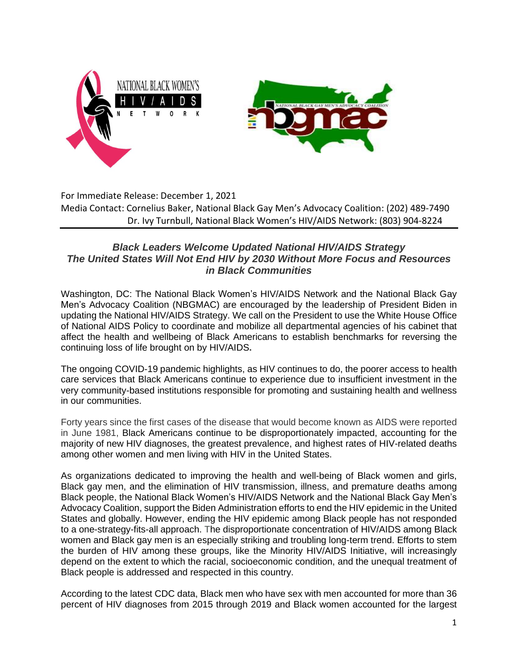

For Immediate Release: December 1, 2021 Media Contact: Cornelius Baker, National Black Gay Men's Advocacy Coalition: (202) 489-7490 Dr. Ivy Turnbull, National Black Women's HIV/AIDS Network: (803) 904-8224

## *Black Leaders Welcome Updated National HIV/AIDS Strategy The United States Will Not End HIV by 2030 Without More Focus and Resources in Black Communities*

Washington, DC: The National Black Women's HIV/AIDS Network and the National Black Gay Men's Advocacy Coalition (NBGMAC) are encouraged by the leadership of President Biden in updating the National HIV/AIDS Strategy. We call on the President to use the White House Office of National AIDS Policy to coordinate and mobilize all departmental agencies of his cabinet that affect the health and wellbeing of Black Americans to establish benchmarks for reversing the continuing loss of life brought on by HIV/AIDS**.**

The ongoing COVID-19 pandemic highlights, as HIV continues to do, the poorer access to health care services that Black Americans continue to experience due to insufficient investment in the very community-based institutions responsible for promoting and sustaining health and wellness in our communities.

Forty years since the first cases of the disease that would become known as AIDS were reported in June 1981, Black Americans continue to be disproportionately impacted, accounting for the majority of new HIV diagnoses, the greatest prevalence, and highest rates of HIV-related deaths among other women and men living with HIV in the United States.

As organizations dedicated to improving the health and well-being of Black women and girls, Black gay men, and the elimination of HIV transmission, illness, and premature deaths among Black people, the National Black Women's HIV/AIDS Network and the National Black Gay Men's Advocacy Coalition, support the Biden Administration efforts to end the HIV epidemic in the United States and globally. However, ending the HIV epidemic among Black people has not responded to a one-strategy-fits-all approach. The disproportionate concentration of HIV/AIDS among Black women and Black gay men is an especially striking and troubling long-term trend. Efforts to stem the burden of HIV among these groups, like the Minority HIV/AIDS Initiative, will increasingly depend on the extent to which the racial, socioeconomic condition, and the unequal treatment of Black people is addressed and respected in this country.

According to the latest CDC data, Black men who have sex with men accounted for more than 36 percent of HIV diagnoses from 2015 through 2019 and Black women accounted for the largest